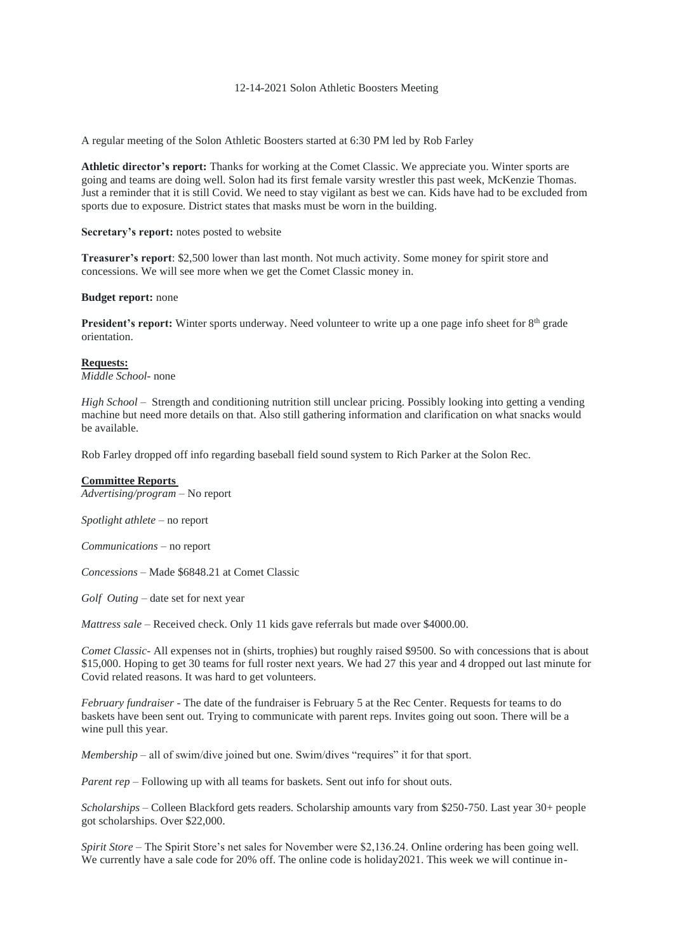### 12-14-2021 Solon Athletic Boosters Meeting

A regular meeting of the Solon Athletic Boosters started at 6:30 PM led by Rob Farley

**Athletic director's report:** Thanks for working at the Comet Classic. We appreciate you. Winter sports are going and teams are doing well. Solon had its first female varsity wrestler this past week, McKenzie Thomas. Just a reminder that it is still Covid. We need to stay vigilant as best we can. Kids have had to be excluded from sports due to exposure. District states that masks must be worn in the building.

## **Secretary's report:** notes posted to website

**Treasurer's report**: \$2,500 lower than last month. Not much activity. Some money for spirit store and concessions. We will see more when we get the Comet Classic money in.

### **Budget report:** none

**President's report:** Winter sports underway. Need volunteer to write up a one page info sheet for 8<sup>th</sup> grade orientation.

# **Requests:**

*Middle School*- none

*High School* – Strength and conditioning nutrition still unclear pricing. Possibly looking into getting a vending machine but need more details on that. Also still gathering information and clarification on what snacks would be available.

Rob Farley dropped off info regarding baseball field sound system to Rich Parker at the Solon Rec.

## **Committee Reports**

*Advertising/program* – No report

*Spotlight athlete* – no report

*Communications* – no report

*Concessions* – Made \$6848.21 at Comet Classic

*Golf Outing –* date set for next year

*Mattress sale* – Received check. Only 11 kids gave referrals but made over \$4000.00.

*Comet Classic*- All expenses not in (shirts, trophies) but roughly raised \$9500. So with concessions that is about \$15,000. Hoping to get 30 teams for full roster next years. We had 27 this year and 4 dropped out last minute for Covid related reasons. It was hard to get volunteers.

*February fundraiser* - The date of the fundraiser is February 5 at the Rec Center. Requests for teams to do baskets have been sent out. Trying to communicate with parent reps. Invites going out soon. There will be a wine pull this year.

*Membership* – all of swim/dive joined but one. Swim/dives "requires" it for that sport.

*Parent rep* – Following up with all teams for baskets. Sent out info for shout outs.

*Scholarships* – Colleen Blackford gets readers. Scholarship amounts vary from \$250-750. Last year 30+ people got scholarships. Over \$22,000.

*Spirit Store –* The Spirit Store's net sales for November were \$2,136.24. Online ordering has been going well. We currently have a sale code for 20% off. The online code is holiday2021. This week we will continue in